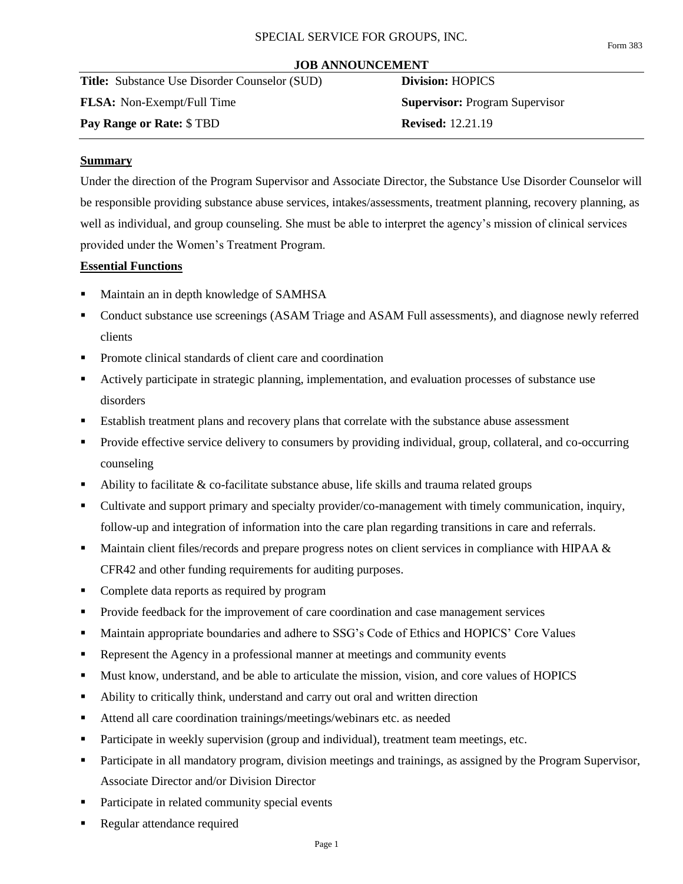#### **JOB ANNOUNCEMENT**

**Title:** Substance Use Disorder Counselor (SUD) **Division:** HOPICS **FLSA:** Non-Exempt/Full Time **Supervisor:** Program Supervisor **Pay Range or Rate:**  $$TBD$  **Revised:** 12.21.19

## **Summary**

Under the direction of the Program Supervisor and Associate Director, the Substance Use Disorder Counselor will be responsible providing substance abuse services, intakes/assessments, treatment planning, recovery planning, as well as individual, and group counseling. She must be able to interpret the agency's mission of clinical services provided under the Women's Treatment Program.

### **Essential Functions**

- Maintain an in depth knowledge of SAMHSA
- Conduct substance use screenings (ASAM Triage and ASAM Full assessments), and diagnose newly referred clients
- Promote clinical standards of client care and coordination
- Actively participate in strategic planning, implementation, and evaluation processes of substance use disorders
- **Establish treatment plans and recovery plans that correlate with the substance abuse assessment**
- Provide effective service delivery to consumers by providing individual, group, collateral, and co-occurring counseling
- $\blacksquare$  Ability to facilitate & co-facilitate substance abuse, life skills and trauma related groups
- Cultivate and support primary and specialty provider/co-management with timely communication, inquiry, follow-up and integration of information into the care plan regarding transitions in care and referrals.
- Maintain client files/records and prepare progress notes on client services in compliance with HIPAA & CFR42 and other funding requirements for auditing purposes.
- Complete data reports as required by program
- **Provide feedback for the improvement of care coordination and case management services**
- Maintain appropriate boundaries and adhere to SSG's Code of Ethics and HOPICS' Core Values
- Represent the Agency in a professional manner at meetings and community events
- Must know, understand, and be able to articulate the mission, vision, and core values of HOPICS
- Ability to critically think, understand and carry out oral and written direction
- Attend all care coordination trainings/meetings/webinars etc. as needed
- **Participate in weekly supervision (group and individual), treatment team meetings, etc.**
- Participate in all mandatory program, division meetings and trainings, as assigned by the Program Supervisor, Associate Director and/or Division Director
- Participate in related community special events
- Regular attendance required